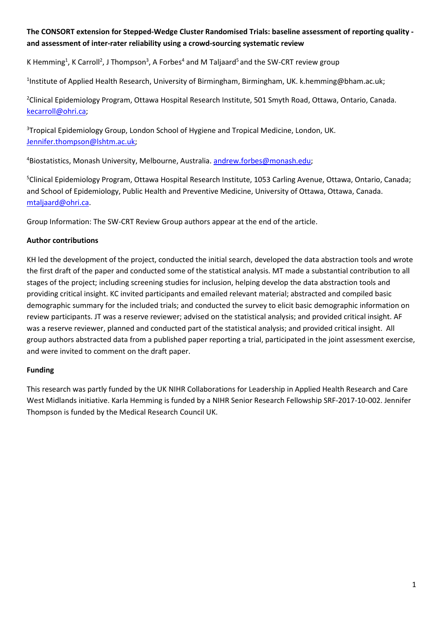# **The CONSORT extension for Stepped-Wedge Cluster Randomised Trials: baseline assessment of reporting quality and assessment of inter-rater reliability using a crowd-sourcing systematic review**

K Hemming<sup>1</sup>, K Carroll<sup>2</sup>, J Thompson<sup>3</sup>, A Forbes<sup>4</sup> and M Taljaard<sup>5</sup> and the SW-CRT review group

<sup>1</sup>Institute of Applied Health Research, University of Birmingham, Birmingham, UK. [k.hemming@bham.ac.uk;](mailto:k.hemming@bham.ac.uk)

<sup>2</sup>Clinical Epidemiology Program, Ottawa Hospital Research Institute, 501 Smyth Road, Ottawa, Ontario, Canada. [kecarroll@ohri.ca;](mailto:kecarroll@ohri.ca)

<sup>3</sup>Tropical Epidemiology Group, London School of Hygiene and Tropical Medicine, London, UK. [Jennifer.thompson@lshtm.ac.uk;](mailto:Jennifer.thompson@lshtm.ac.uk)

<sup>4</sup>Biostatistics, Monash University, Melbourne, Australia. [andrew.forbes@monash.edu;](mailto:andrew.forbes@monash.edu)

<sup>5</sup>Clinical Epidemiology Program, Ottawa Hospital Research Institute, 1053 Carling Avenue, Ottawa, Ontario, Canada; and School of Epidemiology, Public Health and Preventive Medicine, University of Ottawa, Ottawa, Canada. [mtaljaard@ohri.ca.](mailto:mtaljaard@ohri.ca)

Group Information: The SW-CRT Review Group authors appear at the end of the article.

## **Author contributions**

KH led the development of the project, conducted the initial search, developed the data abstraction tools and wrote the first draft of the paper and conducted some of the statistical analysis. MT made a substantial contribution to all stages of the project; including screening studies for inclusion, helping develop the data abstraction tools and providing critical insight. KC invited participants and emailed relevant material; abstracted and compiled basic demographic summary for the included trials; and conducted the survey to elicit basic demographic information on review participants. JT was a reserve reviewer; advised on the statistical analysis; and provided critical insight. AF was a reserve reviewer, planned and conducted part of the statistical analysis; and provided critical insight. All group authors abstracted data from a published paper reporting a trial, participated in the joint assessment exercise, and were invited to comment on the draft paper.

### **Funding**

This research was partly funded by the UK NIHR Collaborations for Leadership in Applied Health Research and Care West Midlands initiative. Karla Hemming is funded by a NIHR Senior Research Fellowship SRF-2017-10-002. Jennifer Thompson is funded by the Medical Research Council UK.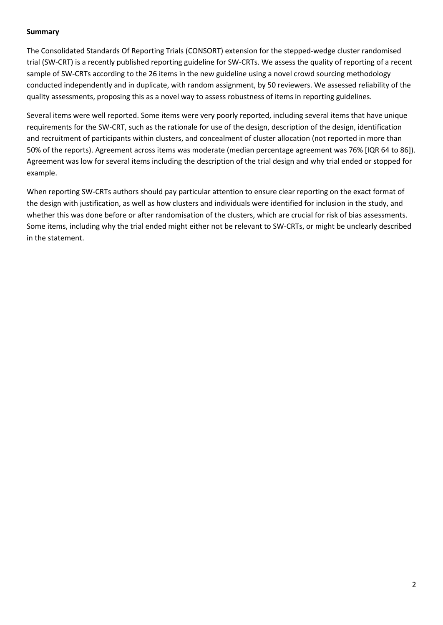#### **Summary**

The Consolidated Standards Of Reporting Trials (CONSORT) extension for the stepped-wedge cluster randomised trial (SW-CRT) is a recently published reporting guideline for SW-CRTs. We assess the quality of reporting of a recent sample of SW-CRTs according to the 26 items in the new guideline using a novel crowd sourcing methodology conducted independently and in duplicate, with random assignment, by 50 reviewers. We assessed reliability of the quality assessments, proposing this as a novel way to assess robustness of items in reporting guidelines.

Several items were well reported. Some items were very poorly reported, including several items that have unique requirements for the SW-CRT, such as the rationale for use of the design, description of the design, identification and recruitment of participants within clusters, and concealment of cluster allocation (not reported in more than 50% of the reports). Agreement across items was moderate (median percentage agreement was 76% [IQR 64 to 86]). Agreement was low for several items including the description of the trial design and why trial ended or stopped for example.

When reporting SW-CRTs authors should pay particular attention to ensure clear reporting on the exact format of the design with justification, as well as how clusters and individuals were identified for inclusion in the study, and whether this was done before or after randomisation of the clusters, which are crucial for risk of bias assessments. Some items, including why the trial ended might either not be relevant to SW-CRTs, or might be unclearly described in the statement.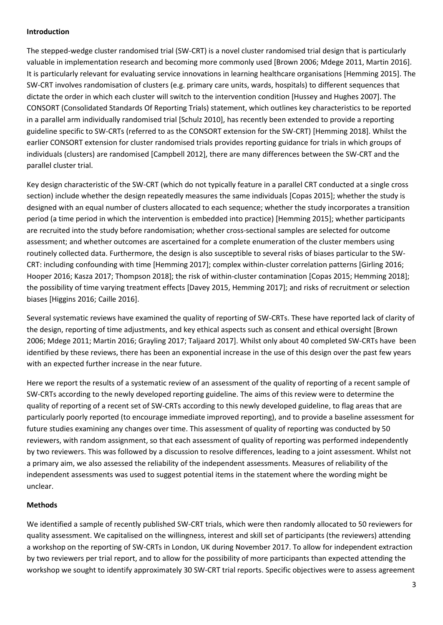#### **Introduction**

The stepped-wedge cluster randomised trial (SW-CRT) is a novel cluster randomised trial design that is particularly valuable in implementation research and becoming more commonly used [Brown 2006; Mdege 2011, Martin 2016]. It is particularly relevant for evaluating service innovations in learning healthcare organisations [Hemming 2015]. The SW-CRT involves randomisation of clusters (e.g. primary care units, wards, hospitals) to different sequences that dictate the order in which each cluster will switch to the intervention condition [Hussey and Hughes 2007]. The CONSORT (Consolidated Standards Of Reporting Trials) statement, which outlines key characteristics to be reported in a parallel arm individually randomised trial [Schulz 2010], has recently been extended to provide a reporting guideline specific to SW-CRTs (referred to as the CONSORT extension for the SW-CRT) [Hemming 2018]. Whilst the earlier CONSORT extension for cluster randomised trials provides reporting guidance for trials in which groups of individuals (clusters) are randomised [Campbell 2012], there are many differences between the SW-CRT and the parallel cluster trial.

Key design characteristic of the SW-CRT (which do not typically feature in a parallel CRT conducted at a single cross section) include whether the design repeatedly measures the same individuals [Copas 2015]; whether the study is designed with an equal number of clusters allocated to each sequence; whether the study incorporates a transition period (a time period in which the intervention is embedded into practice) [Hemming 2015]; whether participants are recruited into the study before randomisation; whether cross-sectional samples are selected for outcome assessment; and whether outcomes are ascertained for a complete enumeration of the cluster members using routinely collected data. Furthermore, the design is also susceptible to several risks of biases particular to the SW-CRT: including confounding with time [Hemming 2017]; complex within-cluster correlation patterns [Girling 2016; Hooper 2016; Kasza 2017; Thompson 2018]; the risk of within-cluster contamination [Copas 2015; Hemming 2018]; the possibility of time varying treatment effects [Davey 2015, Hemming 2017]; and risks of recruitment or selection biases [Higgins 2016; Caille 2016].

Several systematic reviews have examined the quality of reporting of SW-CRTs. These have reported lack of clarity of the design, reporting of time adjustments, and key ethical aspects such as consent and ethical oversight [Brown 2006; Mdege 2011; Martin 2016; Grayling 2017; Taljaard 2017]. Whilst only about 40 completed SW-CRTs have been identified by these reviews, there has been an exponential increase in the use of this design over the past few years with an expected further increase in the near future.

Here we report the results of a systematic review of an assessment of the quality of reporting of a recent sample of SW-CRTs according to the newly developed reporting guideline. The aims of this review were to determine the quality of reporting of a recent set of SW-CRTs according to this newly developed guideline, to flag areas that are particularly poorly reported (to encourage immediate improved reporting), and to provide a baseline assessment for future studies examining any changes over time. This assessment of quality of reporting was conducted by 50 reviewers, with random assignment, so that each assessment of quality of reporting was performed independently by two reviewers. This was followed by a discussion to resolve differences, leading to a joint assessment. Whilst not a primary aim, we also assessed the reliability of the independent assessments. Measures of reliability of the independent assessments was used to suggest potential items in the statement where the wording might be unclear.

### **Methods**

We identified a sample of recently published SW-CRT trials, which were then randomly allocated to 50 reviewers for quality assessment. We capitalised on the willingness, interest and skill set of participants (the reviewers) attending a workshop on the reporting of SW-CRTs in London, UK during November 2017. To allow for independent extraction by two reviewers per trial report, and to allow for the possibility of more participants than expected attending the workshop we sought to identify approximately 30 SW-CRT trial reports. Specific objectives were to assess agreement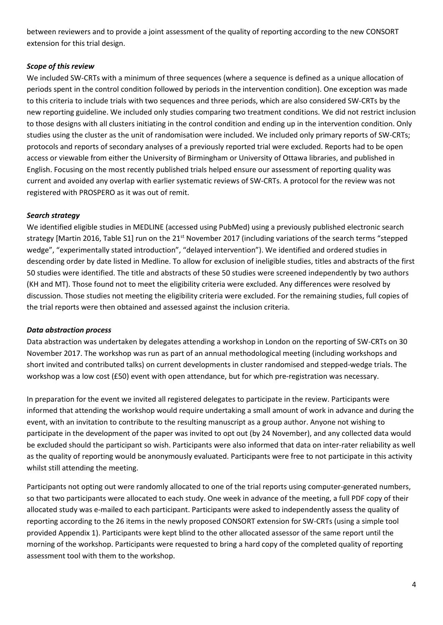between reviewers and to provide a joint assessment of the quality of reporting according to the new CONSORT extension for this trial design.

## *Scope of this review*

We included SW-CRTs with a minimum of three sequences (where a sequence is defined as a unique allocation of periods spent in the control condition followed by periods in the intervention condition). One exception was made to this criteria to include trials with two sequences and three periods, which are also considered SW-CRTs by the new reporting guideline. We included only studies comparing two treatment conditions. We did not restrict inclusion to those designs with all clusters initiating in the control condition and ending up in the intervention condition. Only studies using the cluster as the unit of randomisation were included. We included only primary reports of SW-CRTs; protocols and reports of secondary analyses of a previously reported trial were excluded. Reports had to be open access or viewable from either the University of Birmingham or University of Ottawa libraries, and published in English. Focusing on the most recently published trials helped ensure our assessment of reporting quality was current and avoided any overlap with earlier systematic reviews of SW-CRTs. A protocol for the review was not registered with PROSPERO as it was out of remit.

### *Search strategy*

We identified eligible studies in MEDLINE (accessed using PubMed) using a previously published electronic search strategy [Martin 2016, Table S1] run on the 21<sup>st</sup> November 2017 (including variations of the search terms "stepped wedge", "experimentally stated introduction", "delayed intervention"). We identified and ordered studies in descending order by date listed in Medline. To allow for exclusion of ineligible studies, titles and abstracts of the first 50 studies were identified. The title and abstracts of these 50 studies were screened independently by two authors (KH and MT). Those found not to meet the eligibility criteria were excluded. Any differences were resolved by discussion. Those studies not meeting the eligibility criteria were excluded. For the remaining studies, full copies of the trial reports were then obtained and assessed against the inclusion criteria.

### *Data abstraction process*

Data abstraction was undertaken by delegates attending a workshop in London on the reporting of SW-CRTs on 30 November 2017. The workshop was run as part of an annual methodological meeting (including workshops and short invited and contributed talks) on current developments in cluster randomised and stepped-wedge trials. The workshop was a low cost (£50) event with open attendance, but for which pre-registration was necessary.

In preparation for the event we invited all registered delegates to participate in the review. Participants were informed that attending the workshop would require undertaking a small amount of work in advance and during the event, with an invitation to contribute to the resulting manuscript as a group author. Anyone not wishing to participate in the development of the paper was invited to opt out (by 24 November), and any collected data would be excluded should the participant so wish. Participants were also informed that data on inter-rater reliability as well as the quality of reporting would be anonymously evaluated. Participants were free to not participate in this activity whilst still attending the meeting.

Participants not opting out were randomly allocated to one of the trial reports using computer-generated numbers, so that two participants were allocated to each study. One week in advance of the meeting, a full PDF copy of their allocated study was e-mailed to each participant. Participants were asked to independently assess the quality of reporting according to the 26 items in the newly proposed CONSORT extension for SW-CRTs (using a simple tool provided Appendix 1). Participants were kept blind to the other allocated assessor of the same report until the morning of the workshop. Participants were requested to bring a hard copy of the completed quality of reporting assessment tool with them to the workshop.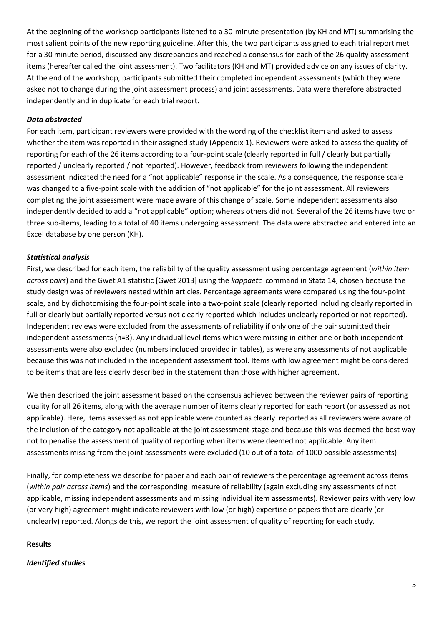At the beginning of the workshop participants listened to a 30-minute presentation (by KH and MT) summarising the most salient points of the new reporting guideline. After this, the two participants assigned to each trial report met for a 30 minute period, discussed any discrepancies and reached a consensus for each of the 26 quality assessment items (hereafter called the joint assessment). Two facilitators (KH and MT) provided advice on any issues of clarity. At the end of the workshop, participants submitted their completed independent assessments (which they were asked not to change during the joint assessment process) and joint assessments. Data were therefore abstracted independently and in duplicate for each trial report.

#### *Data abstracted*

For each item, participant reviewers were provided with the wording of the checklist item and asked to assess whether the item was reported in their assigned study (Appendix 1). Reviewers were asked to assess the quality of reporting for each of the 26 items according to a four-point scale (clearly reported in full / clearly but partially reported / unclearly reported / not reported). However, feedback from reviewers following the independent assessment indicated the need for a "not applicable" response in the scale. As a consequence, the response scale was changed to a five-point scale with the addition of "not applicable" for the joint assessment. All reviewers completing the joint assessment were made aware of this change of scale. Some independent assessments also independently decided to add a "not applicable" option; whereas others did not. Several of the 26 items have two or three sub-items, leading to a total of 40 items undergoing assessment. The data were abstracted and entered into an Excel database by one person (KH).

### *Statistical analysis*

First, we described for each item, the reliability of the quality assessment using percentage agreement (*within item across pairs*) and the Gwet A1 statistic [Gwet 2013] using the *kappaetc* command in Stata 14, chosen because the study design was of reviewers nested within articles. Percentage agreements were compared using the four-point scale, and by dichotomising the four-point scale into a two-point scale (clearly reported including clearly reported in full or clearly but partially reported versus not clearly reported which includes unclearly reported or not reported). Independent reviews were excluded from the assessments of reliability if only one of the pair submitted their independent assessments (n=3). Any individual level items which were missing in either one or both independent assessments were also excluded (numbers included provided in tables), as were any assessments of not applicable because this was not included in the independent assessment tool. Items with low agreement might be considered to be items that are less clearly described in the statement than those with higher agreement.

We then described the joint assessment based on the consensus achieved between the reviewer pairs of reporting quality for all 26 items, along with the average number of items clearly reported for each report (or assessed as not applicable). Here, items assessed as not applicable were counted as clearly reported as all reviewers were aware of the inclusion of the category not applicable at the joint assessment stage and because this was deemed the best way not to penalise the assessment of quality of reporting when items were deemed not applicable. Any item assessments missing from the joint assessments were excluded (10 out of a total of 1000 possible assessments).

Finally, for completeness we describe for paper and each pair of reviewers the percentage agreement across items (*within pair across items*) and the corresponding measure of reliability (again excluding any assessments of not applicable, missing independent assessments and missing individual item assessments). Reviewer pairs with very low (or very high) agreement might indicate reviewers with low (or high) expertise or papers that are clearly (or unclearly) reported. Alongside this, we report the joint assessment of quality of reporting for each study.

#### **Results**

### *Identified studies*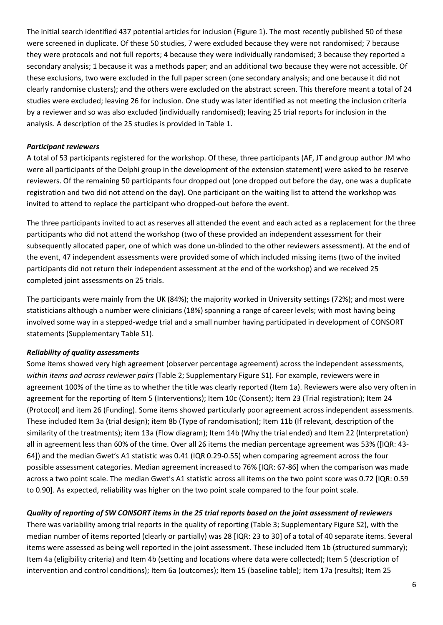The initial search identified 437 potential articles for inclusion (Figure 1). The most recently published 50 of these were screened in duplicate. Of these 50 studies, 7 were excluded because they were not randomised; 7 because they were protocols and not full reports; 4 because they were individually randomised; 3 because they reported a secondary analysis; 1 because it was a methods paper; and an additional two because they were not accessible. Of these exclusions, two were excluded in the full paper screen (one secondary analysis; and one because it did not clearly randomise clusters); and the others were excluded on the abstract screen. This therefore meant a total of 24 studies were excluded; leaving 26 for inclusion. One study was later identified as not meeting the inclusion criteria by a reviewer and so was also excluded (individually randomised); leaving 25 trial reports for inclusion in the analysis. A description of the 25 studies is provided in Table 1.

## *Participant reviewers*

A total of 53 participants registered for the workshop. Of these, three participants (AF, JT and group author JM who were all participants of the Delphi group in the development of the extension statement) were asked to be reserve reviewers. Of the remaining 50 participants four dropped out (one dropped out before the day, one was a duplicate registration and two did not attend on the day). One participant on the waiting list to attend the workshop was invited to attend to replace the participant who dropped-out before the event.

The three participants invited to act as reserves all attended the event and each acted as a replacement for the three participants who did not attend the workshop (two of these provided an independent assessment for their subsequently allocated paper, one of which was done un-blinded to the other reviewers assessment). At the end of the event, 47 independent assessments were provided some of which included missing items (two of the invited participants did not return their independent assessment at the end of the workshop) and we received 25 completed joint assessments on 25 trials.

The participants were mainly from the UK (84%); the majority worked in University settings (72%); and most were statisticians although a number were clinicians (18%) spanning a range of career levels; with most having being involved some way in a stepped-wedge trial and a small number having participated in development of CONSORT statements (Supplementary Table S1).

## *Reliability of quality assessments*

Some items showed very high agreement (observer percentage agreement) across the independent assessments, *within items and across reviewer pairs* (Table 2; Supplementary Figure S1). For example, reviewers were in agreement 100% of the time as to whether the title was clearly reported (Item 1a). Reviewers were also very often in agreement for the reporting of Item 5 (Interventions); Item 10c (Consent); Item 23 (Trial registration); Item 24 (Protocol) and item 26 (Funding). Some items showed particularly poor agreement across independent assessments. These included Item 3a (trial design); item 8b (Type of randomisation); Item 11b (If relevant, description of the similarity of the treatments); item 13a (Flow diagram); Item 14b (Why the trial ended) and Item 22 (Interpretation) all in agreement less than 60% of the time. Over all 26 items the median percentage agreement was 53% ([IQR: 43- 64]) and the median Gwet's A1 statistic was 0.41 (IQR 0.29-0.55) when comparing agreement across the four possible assessment categories. Median agreement increased to 76% [IQR: 67-86] when the comparison was made across a two point scale. The median Gwet's A1 statistic across all items on the two point score was 0.72 [IQR: 0.59 to 0.90]. As expected, reliability was higher on the two point scale compared to the four point scale.

## *Quality of reporting of SW CONSORT items in the 25 trial reports based on the joint assessment of reviewers*

There was variability among trial reports in the quality of reporting (Table 3; Supplementary Figure S2), with the median number of items reported (clearly or partially) was 28 [IQR: 23 to 30] of a total of 40 separate items. Several items were assessed as being well reported in the joint assessment. These included Item 1b (structured summary); Item 4a (eligibility criteria) and Item 4b (setting and locations where data were collected); Item 5 (description of intervention and control conditions); Item 6a (outcomes); Item 15 (baseline table); Item 17a (results); Item 25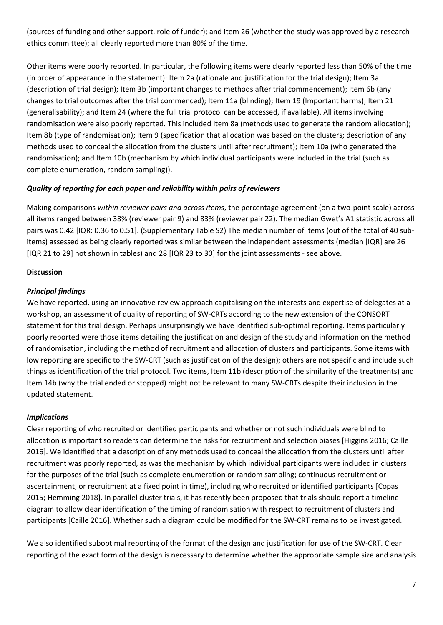(sources of funding and other support, role of funder); and Item 26 (whether the study was approved by a research ethics committee); all clearly reported more than 80% of the time.

Other items were poorly reported. In particular, the following items were clearly reported less than 50% of the time (in order of appearance in the statement): Item 2a (rationale and justification for the trial design); Item 3a (description of trial design); Item 3b (important changes to methods after trial commencement); Item 6b (any changes to trial outcomes after the trial commenced); Item 11a (blinding); Item 19 (Important harms); Item 21 (generalisability); and Item 24 (where the full trial protocol can be accessed, if available). All items involving randomisation were also poorly reported. This included Item 8a (methods used to generate the random allocation); Item 8b (type of randomisation); Item 9 (specification that allocation was based on the clusters; description of any methods used to conceal the allocation from the clusters until after recruitment); Item 10a (who generated the randomisation); and Item 10b (mechanism by which individual participants were included in the trial (such as complete enumeration, random sampling)).

## *Quality of reporting for each paper and reliability within pairs of reviewers*

Making comparisons *within reviewer pairs and across items*, the percentage agreement (on a two-point scale) across all items ranged between 38% (reviewer pair 9) and 83% (reviewer pair 22). The median Gwet's A1 statistic across all pairs was 0.42 [IQR: 0.36 to 0.51]. (Supplementary Table S2) The median number of items (out of the total of 40 subitems) assessed as being clearly reported was similar between the independent assessments (median [IQR] are 26 [IQR 21 to 29] not shown in tables) and 28 [IQR 23 to 30] for the joint assessments - see above.

## **Discussion**

## *Principal findings*

We have reported, using an innovative review approach capitalising on the interests and expertise of delegates at a workshop, an assessment of quality of reporting of SW-CRTs according to the new extension of the CONSORT statement for this trial design. Perhaps unsurprisingly we have identified sub-optimal reporting. Items particularly poorly reported were those items detailing the justification and design of the study and information on the method of randomisation, including the method of recruitment and allocation of clusters and participants. Some items with low reporting are specific to the SW-CRT (such as justification of the design); others are not specific and include such things as identification of the trial protocol. Two items, Item 11b (description of the similarity of the treatments) and Item 14b (why the trial ended or stopped) might not be relevant to many SW-CRTs despite their inclusion in the updated statement.

### *Implications*

Clear reporting of who recruited or identified participants and whether or not such individuals were blind to allocation is important so readers can determine the risks for recruitment and selection biases [Higgins 2016; Caille 2016]. We identified that a description of any methods used to conceal the allocation from the clusters until after recruitment was poorly reported, as was the mechanism by which individual participants were included in clusters for the purposes of the trial (such as complete enumeration or random sampling; continuous recruitment or ascertainment, or recruitment at a fixed point in time), including who recruited or identified participants [Copas 2015; Hemming 2018]. In parallel cluster trials, it has recently been proposed that trials should report a timeline diagram to allow clear identification of the timing of randomisation with respect to recruitment of clusters and participants [Caille 2016]. Whether such a diagram could be modified for the SW-CRT remains to be investigated.

We also identified suboptimal reporting of the format of the design and justification for use of the SW-CRT. Clear reporting of the exact form of the design is necessary to determine whether the appropriate sample size and analysis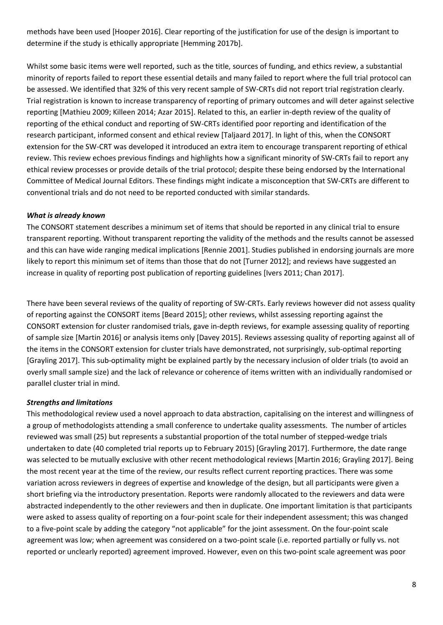methods have been used [Hooper 2016]. Clear reporting of the justification for use of the design is important to determine if the study is ethically appropriate [Hemming 2017b].

Whilst some basic items were well reported, such as the title, sources of funding, and ethics review, a substantial minority of reports failed to report these essential details and many failed to report where the full trial protocol can be assessed. We identified that 32% of this very recent sample of SW-CRTs did not report trial registration clearly. Trial registration is known to increase transparency of reporting of primary outcomes and will deter against selective reporting [Mathieu 2009; Killeen 2014; Azar 2015]. Related to this, an earlier in-depth review of the quality of reporting of the ethical conduct and reporting of SW-CRTs identified poor reporting and identification of the research participant, informed consent and ethical review [Taljaard 2017]. In light of this, when the CONSORT extension for the SW-CRT was developed it introduced an extra item to encourage transparent reporting of ethical review. This review echoes previous findings and highlights how a significant minority of SW-CRTs fail to report any ethical review processes or provide details of the trial protocol; despite these being endorsed by the International Committee of Medical Journal Editors. These findings might indicate a misconception that SW-CRTs are different to conventional trials and do not need to be reported conducted with similar standards.

### *What is already known*

The CONSORT statement describes a minimum set of items that should be reported in any clinical trial to ensure transparent reporting. Without transparent reporting the validity of the methods and the results cannot be assessed and this can have wide ranging medical implications [Rennie 2001]. Studies published in endorsing journals are more likely to report this minimum set of items than those that do not [Turner 2012]; and reviews have suggested an increase in quality of reporting post publication of reporting guidelines [Ivers 2011; Chan 2017].

There have been several reviews of the quality of reporting of SW-CRTs. Early reviews however did not assess quality of reporting against the CONSORT items [Beard 2015]; other reviews, whilst assessing reporting against the CONSORT extension for cluster randomised trials, gave in-depth reviews, for example assessing quality of reporting of sample size [Martin 2016] or analysis items only [Davey 2015]. Reviews assessing quality of reporting against all of the items in the CONSORT extension for cluster trials have demonstrated, not surprisingly, sub-optimal reporting [Grayling 2017]. This sub-optimality might be explained partly by the necessary inclusion of older trials (to avoid an overly small sample size) and the lack of relevance or coherence of items written with an individually randomised or parallel cluster trial in mind.

## *Strengths and limitations*

This methodological review used a novel approach to data abstraction, capitalising on the interest and willingness of a group of methodologists attending a small conference to undertake quality assessments. The number of articles reviewed was small (25) but represents a substantial proportion of the total number of stepped-wedge trials undertaken to date (40 completed trial reports up to February 2015) [Grayling 2017]. Furthermore, the date range was selected to be mutually exclusive with other recent methodological reviews [Martin 2016; Grayling 2017]. Being the most recent year at the time of the review, our results reflect current reporting practices. There was some variation across reviewers in degrees of expertise and knowledge of the design, but all participants were given a short briefing via the introductory presentation. Reports were randomly allocated to the reviewers and data were abstracted independently to the other reviewers and then in duplicate. One important limitation is that participants were asked to assess quality of reporting on a four-point scale for their independent assessment; this was changed to a five-point scale by adding the category "not applicable" for the joint assessment. On the four-point scale agreement was low; when agreement was considered on a two-point scale (i.e. reported partially or fully vs. not reported or unclearly reported) agreement improved. However, even on this two-point scale agreement was poor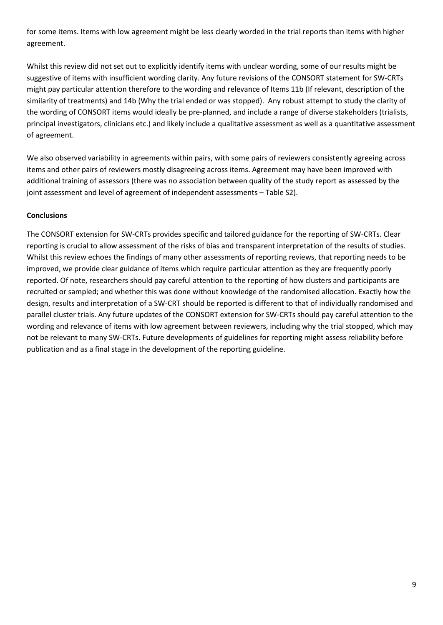for some items. Items with low agreement might be less clearly worded in the trial reports than items with higher agreement.

Whilst this review did not set out to explicitly identify items with unclear wording, some of our results might be suggestive of items with insufficient wording clarity. Any future revisions of the CONSORT statement for SW-CRTs might pay particular attention therefore to the wording and relevance of Items 11b (If relevant, description of the similarity of treatments) and 14b (Why the trial ended or was stopped). Any robust attempt to study the clarity of the wording of CONSORT items would ideally be pre-planned, and include a range of diverse stakeholders (trialists, principal investigators, clinicians etc.) and likely include a qualitative assessment as well as a quantitative assessment of agreement.

We also observed variability in agreements within pairs, with some pairs of reviewers consistently agreeing across items and other pairs of reviewers mostly disagreeing across items. Agreement may have been improved with additional training of assessors (there was no association between quality of the study report as assessed by the joint assessment and level of agreement of independent assessments – Table S2).

## **Conclusions**

The CONSORT extension for SW-CRTs provides specific and tailored guidance for the reporting of SW-CRTs. Clear reporting is crucial to allow assessment of the risks of bias and transparent interpretation of the results of studies. Whilst this review echoes the findings of many other assessments of reporting reviews, that reporting needs to be improved, we provide clear guidance of items which require particular attention as they are frequently poorly reported. Of note, researchers should pay careful attention to the reporting of how clusters and participants are recruited or sampled; and whether this was done without knowledge of the randomised allocation. Exactly how the design, results and interpretation of a SW-CRT should be reported is different to that of individually randomised and parallel cluster trials. Any future updates of the CONSORT extension for SW-CRTs should pay careful attention to the wording and relevance of items with low agreement between reviewers, including why the trial stopped, which may not be relevant to many SW-CRTs. Future developments of guidelines for reporting might assess reliability before publication and as a final stage in the development of the reporting guideline.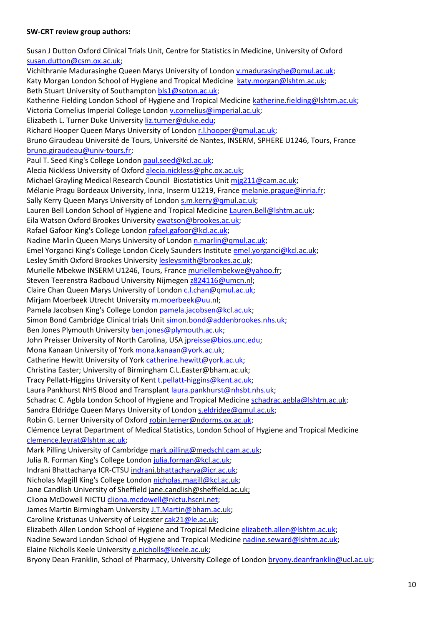#### **SW-CRT review group authors:**

Susan J Dutton Oxford Clinical Trials Unit, Centre for Statistics in Medicine, University of Oxford [susan.dutton@csm.ox.ac.uk;](mailto:susan.dutton@csm.ox.ac.uk) Vichithranie Madurasinghe Queen Marys University of London [v.madurasinghe@qmul.ac.uk;](mailto:v.madurasinghe@qmul.ac.uk) Katy Morgan London School of Hygiene and Tropical Medicine [katy.morgan@lshtm.ac.uk;](mailto:katy.morgan@lshtm.ac.uk) Beth Stuart University of Southampton [bls1@soton.ac.uk;](mailto:bls1@soton.ac.uk) Katherine Fielding London School of Hygiene and Tropical Medicin[e katherine.fielding@lshtm.ac.uk;](mailto:katherine.fielding@lshtm.ac.uk) Victoria Cornelius Imperial College London [v.cornelius@imperial.ac.uk;](mailto:v.cornelius@imperial.ac.uk) Elizabeth L. Turner Duke University [liz.turner@duke.edu;](mailto:liz.turner@duke.edu) Richard Hooper Queen Marys University of London [r.l.hooper@qmul.ac.uk;](mailto:r.l.hooper@qmul.ac.uk) Bruno Giraudeau Université de Tours, Université de Nantes, INSERM, SPHERE U1246, Tours, France [bruno.giraudeau@univ-tours.fr;](mailto:bruno.giraudeau@univ-tours.fr) Paul T. Seed King's College Londo[n paul.seed@kcl.ac.uk;](mailto:paul.seed@kcl.ac.uk) Alecia Nickless University of Oxford [alecia.nickless@phc.ox.ac.uk;](mailto:alecia.nickless@phc.ox.ac.uk) Michael Grayling Medical Research Council Biostatistics Unit [mjg211@cam.ac.uk;](mailto:mjg211@cam.ac.uk) Mélanie Pragu Bordeaux University, Inria, Inserm U1219, Franc[e melanie.prague@inria.fr;](mailto:melanie.prague@inria.fr) Sally Kerry Queen Marys University of London [s.m.kerry@qmul.ac.uk;](mailto:s.m.kerry@qmul.ac.uk) Lauren Bell London School of Hygiene and Tropical Medicine [Lauren.Bell@lshtm.ac.uk;](mailto:Lauren.Bell@lshtm.ac.uk) Eila Watson Oxford Brookes University [ewatson@brookes.ac.uk;](mailto:ewatson@brookes.ac.uk) Rafael Gafoor King's College Londo[n rafael.gafoor@kcl.ac.uk;](mailto:rafael.gafoor@kcl.ac.uk) Nadine Marlin Queen Marys University of London [n.marlin@qmul.ac.uk;](mailto:n.marlin@qmul.ac.uk) Emel Yorganci King's College London Cicely Saunders Institute [emel.yorganci@kcl.ac.uk;](mailto:emel.yorganci@kcl.ac.uk) Lesley Smith Oxford Brookes University [lesleysmith@brookes.ac.uk;](mailto:lesleysmith@brookes.ac.uk) Murielle Mbekwe INSERM U1246, Tours, France [muriellembekwe@yahoo.fr;](mailto:muriellembekwe@yahoo.fr) Steven Teerenstra Radboud University Nijmege[n z824116@umcn.nl;](mailto:z824116@umcn.nl) Claire Chan Queen Marys University of London [c.l.chan@qmul.ac.uk;](mailto:c.l.chan@qmul.ac.uk) Mirjam Moerbeek Utrecht University [m.moerbeek@uu.nl;](mailto:m.moerbeek@uu.nl) Pamela Jacobsen King's College Londo[n pamela.jacobsen@kcl.ac.uk;](mailto:pamela.jacobsen@kcl.ac.uk) Simon Bond Cambridge Clinical trials Uni[t simon.bond@addenbrookes.nhs.uk;](mailto:simon.bond@addenbrookes.nhs.uk) Ben Jones Plymouth University [ben.jones@plymouth.ac.uk;](mailto:ben.jones@plymouth.ac.uk) John Preisser University of North Carolina, USA [jpreisse@bios.unc.edu;](mailto:jpreisse@bios.unc.edu) Mona Kanaan University of York [mona.kanaan@york.ac.uk;](mailto:mona.kanaan@york.ac.uk) Catherine Hewitt University of Yor[k catherine.hewitt@york.ac.uk;](mailto:catherine.hewitt@york.ac.uk) Christina Easter; University of Birmingham C.L.Easter@bham.ac.uk; Tracy Pellatt-Higgins University of Kent [t.pellatt-higgins@kent.ac.uk;](mailto:t.pellatt-higgins@kent.ac.uk) Laura Pankhurst NHS Blood and Transplant [laura.pankhurst@nhsbt.nhs.uk;](mailto:laura.pankhurst@nhsbt.nhs.uk) Schadrac C. Agbla London School of Hygiene and Tropical Medicin[e schadrac.agbla@lshtm.ac.uk;](mailto:schadrac.agbla@lshtm.ac.uk) Sandra Eldridge Queen Marys University of London [s.eldridge@qmul.ac.uk;](mailto:s.eldridge@qmul.ac.uk) Robin G. Lerner University of Oxfor[d robin.lerner@ndorms.ox.ac.uk;](mailto:robin.lerner@ndorms.ox.ac.uk) Clémence Leyrat Department of Medical Statistics, London School of Hygiene and Tropical Medicine [clemence.leyrat@lshtm.ac.uk;](mailto:clemence.leyrat@lshtm.ac.uk) Mark Pilling University of Cambridge [mark.pilling@medschl.cam.ac.uk;](mailto:mark.pilling@medschl.cam.ac.uk) Julia R. Forman King's College London [julia.forman@kcl.ac.uk;](mailto:julia.forman@kcl.ac.uk) Indrani Bhattacharya ICR-CTSU [indrani.bhattacharya@icr.ac.uk;](mailto:indrani.bhattacharya@icr.ac.uk) Nicholas Magill King's College London [nicholas.magill@kcl.ac.uk;](mailto:nicholas.magill@kcl.ac.uk) Jane Candlish University of Sheffield jane.candlish@sheffield.ac.uk; Cliona McDowell NICT[U cliona.mcdowell@nictu.hscni.net;](mailto:cliona.mcdowell@nictu.hscni.net) James Martin Birmingham University [J.T.Martin@bham.ac.uk;](mailto:J.T.Martin@bham.ac.uk) Caroline Kristunas University of Leicester [cak21@le.ac.uk;](mailto:cak21@le.ac.uk) Elizabeth Allen London School of Hygiene and Tropical Medicin[e elizabeth.allen@lshtm.ac.uk;](mailto:elizabeth.allen@lshtm.ac.uk) Nadine Seward London School of Hygiene and Tropical Medicine [nadine.seward@lshtm.ac.uk;](mailto:nadine.seward@lshtm.ac.uk) Elaine Nicholls Keele University [e.nicholls@keele.ac.uk;](mailto:e.nicholls@keele.ac.uk)

Bryony Dean Franklin, School of Pharmacy, University College of Londo[n bryony.deanfranklin@ucl.ac.uk;](mailto:bryony.deanfranklin@ucl.ac.uk)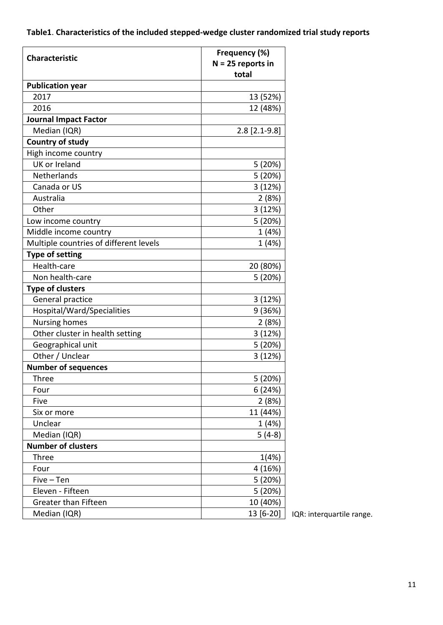# **Table1**. **Characteristics of the included stepped-wedge cluster randomized trial study reports**

| <b>Characteristic</b>                  | Frequency (%)<br>$N = 25$ reports in |
|----------------------------------------|--------------------------------------|
| <b>Publication year</b>                | total                                |
| 2017                                   | 13 (52%)                             |
| 2016                                   | 12 (48%)                             |
| <b>Journal Impact Factor</b>           |                                      |
| Median (IQR)                           | $2.8$ [2.1-9.8]                      |
| <b>Country of study</b>                |                                      |
| High income country                    |                                      |
| UK or Ireland                          | 5 (20%)                              |
| Netherlands                            | 5 (20%)                              |
| Canada or US                           | 3(12%)                               |
| Australia                              | 2(8%)                                |
| Other                                  | 3(12%)                               |
| Low income country                     | 5 (20%)                              |
| Middle income country                  | 1 (4%)                               |
| Multiple countries of different levels | 1 (4%)                               |
| <b>Type of setting</b>                 |                                      |
| Health-care                            | 20 (80%)                             |
| Non health-care                        | 5 (20%)                              |
| <b>Type of clusters</b>                |                                      |
| General practice                       | 3(12%)                               |
| Hospital/Ward/Specialities             | 9 (36%)                              |
| <b>Nursing homes</b>                   | 2(8%)                                |
| Other cluster in health setting        | 3(12%)                               |
| Geographical unit                      | 5 (20%)                              |
| Other / Unclear                        | 3(12%)                               |
| <b>Number of sequences</b>             |                                      |
| Three                                  | 5 (20%)                              |
| Four                                   | 6(24%)                               |
| Five                                   | 2(8%)                                |
| Six or more                            | 11 (44%)                             |
| Unclear                                | 1(4%)                                |
| Median (IQR)                           | $5(4-8)$                             |
| <b>Number of clusters</b>              |                                      |
| <b>Three</b>                           | 1(4%)                                |
| Four                                   | 4 (16%)                              |
| $Five-Ten$                             | 5 (20%)                              |
| Eleven - Fifteen                       | 5 (20%)                              |
| <b>Greater than Fifteen</b>            | 10 (40%)                             |
| Median (IQR)                           | 13 [6-20]                            |

IQR: interquartile range.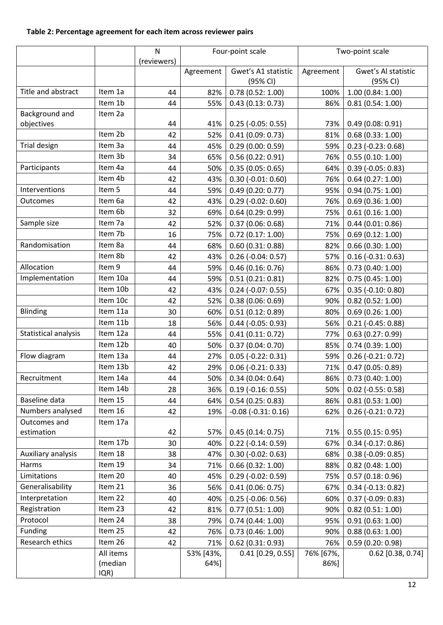# **Table 2: Percentage agreement for each item across reviewer pairs**

|                              |           | N<br>(reviewers) | Four-point scale |                        | Two-point scale |                      |
|------------------------------|-----------|------------------|------------------|------------------------|-----------------|----------------------|
|                              |           |                  | Agreement        | Gwet's A1 statistic    | Agreement       | Gwet's Al statistic  |
|                              | Item 1a   |                  |                  | (95% CI)               |                 | (95% CI)             |
| Title and abstract           |           | 44               | 82%              | 0.78(0.52:1.00)        | 100%            | 1.00(0.84:1.00)      |
|                              | Item 1b   | 44               | 55%              | 0.43(0.13:0.73)        | 86%             | 0.81(0.54:1.00)      |
| Background and<br>objectives | Item 2a   | 44               | 41%              | $0.25$ (-0.05: 0.55)   | 73%             | 0.49(0.08:0.91)      |
|                              | Item 2b   | 42               | 52%              | 0.41(0.09:0.73)        | 81%             | 0.68(0.33:1.00)      |
| Trial design                 | Item 3a   | 44               | 45%              | 0.29(0.00:0.59)        | 59%             | $0.23$ (-0.23: 0.68) |
|                              | Item 3b   | 34               | 65%              | 0.56(0.22:0.91)        | 76%             | 0.55(0.10:1.00)      |
| Participants                 | Item 4a   | 44               | 50%              | 0.35(0.05:0.65)        | 64%             | $0.39$ (-0.05: 0.83) |
|                              | Item 4b   | 42               | 43%              | $0.30$ (-0.01: 0.60)   | 76%             | 0.64(0.27:1.00)      |
| Interventions                | Item 5    | 44               | 59%              | 0.49(0.20:0.77)        | 95%             | 0.94(0.75:1.00)      |
| Outcomes                     | Item 6a   | 42               | 43%              | $0.29$ (-0.02: 0.60)   | 76%             | 0.69(0.36:1.00)      |
|                              | Item 6b   | 32               | 69%              | 0.64(0.29:0.99)        | 75%             | 0.61(0.16:1.00)      |
| Sample size                  | Item 7a   | 42               | 52%              | 0.37(0.06:0.68)        | 71%             | 0.44(0.01:0.86)      |
|                              | Item 7b   | 16               | 75%              | 0.72(0.17:1.00)        | 75%             | 0.69(0.12:1.00)      |
| Randomisation                | Item 8a   | 44               | 68%              | 0.60(0.31:0.88)        | 82%             | 0.66(0.30:1.00)      |
|                              | Item 8b   | 42               | 43%              | $0.26$ (-0.04: 0.57)   | 57%             | $0.16$ (-0.31: 0.63) |
| Allocation                   | Item 9    | 44               | 59%              | 0.46(0.16:0.76)        | 86%             | 0.73(0.40:1.00)      |
| Implementation               | Item 10a  | 44               | 59%              | 0.51(0.21:0.81)        | 82%             | 0.75(0.45:1.00)      |
|                              | Item 10b  | 42               | 43%              | $0.24$ (-0.07: 0.55)   | 67%             | $0.35$ (-0.10: 0.80) |
|                              | Item 10c  | 42               | 52%              | 0.38(0.06:0.69)        | 90%             | $0.82$ (0.52: 1.00)  |
| Blinding                     | Item 11a  | 30               | 60%              | 0.51(0.12:0.89)        | 80%             | 0.69(0.26:1.00)      |
|                              | Item 11b  | 18               | 56%              | $0.44$ (-0.05: 0.93)   | 56%             | $0.21$ (-0.45: 0.88) |
| Statistical analysis         | Item 12a  | 44               | 55%              | 0.41(0.11:0.72)        | 77%             | 0.63(0.27:0.99)      |
|                              | Item 12b  | 40               | 50%              | 0.37(0.04:0.70)        | 85%             | 0.74(0.39:1.00)      |
| Flow diagram                 | Item 13a  | 44               | 27%              | $0.05$ (-0.22: 0.31)   | 59%             | $0.26$ (-0.21: 0.72) |
|                              | Item 13b  | 42               | 29%              | $0.06$ (-0.21: 0.33)   | 71%             | 0.47(0.05:0.89)      |
| Recruitment                  | Item 14a  | 44               | 50%              | 0.34(0.04:0.64)        | 86%             | 0.73(0.40:1.00)      |
|                              | Item 14b  | 28               | 36%              | $0.19$ (-0.16: 0.55)   | 50%             | $0.02$ (-0.55: 0.58) |
| Baseline data                | Item 15   | 44               | 64%              | 0.54(0.25:0.83)        | 86%             | 0.81(0.53:1.00)      |
| Numbers analysed             | Item 16   | 42               | 19%              | $-0.08$ $(-0.31:0.16)$ | 62%             | $0.26$ (-0.21: 0.72) |
| Outcomes and                 | Item 17a  |                  |                  |                        |                 |                      |
| estimation                   |           | 42               | 57%              | 0.45(0.14:0.75)        | 71%             | 0.55(0.15:0.95)      |
|                              | Item 17b  | 30               | 40%              | $0.22$ (-0.14: 0.59)   | 67%             | $0.34$ (-0.17: 0.86) |
| Auxiliary analysis           | Item 18   | 38               | 47%              | $0.30$ (-0.02: 0.63)   | 68%             | $0.38(-0.09:0.85)$   |
| Harms                        | Item 19   | 34               | 71%              | 0.66(0.32:1.00)        | 88%             | $0.82$ (0.48: 1.00)  |
| Limitations                  | Item 20   | 40               | 45%              | $0.29$ (-0.02: 0.59)   | 75%             | 0.57(0.18:0.96)      |
| Generalisability             | Item 21   | 36               | 56%              | 0.41(0.06:0.75)        | 67%             | $0.34$ (-0.13: 0.82) |
| Interpretation               | Item 22   | 40               | 40%              | $0.25$ (-0.06: 0.56)   | 60%             | $0.37$ (-0.09: 0.83) |
| Registration                 | Item 23   | 42               | 81%              | 0.77(0.51:1.00)        | 90%             | $0.82$ (0.51: 1.00)  |
| Protocol                     | Item 24   | 38               | 79%              | 0.74(0.44:1.00)        | 95%             | 0.91(0.63:1.00)      |
| Funding                      | Item 25   | 42               | 76%              | 0.73(0.46:1.00)        | 90%             | 0.88(0.63:1.00)      |
| Research ethics              | Item 26   | 42               | 71%              | $0.62$ (0.31: 0.93)    | 76%             | 0.59(0.20:0.98)      |
|                              | All items |                  | 53% [43%,        | $0.41$ [0.29, 0.55]    | 76% [67%,       | $0.62$ [0.38, 0.74]  |
|                              | (median   |                  | 64%]             |                        | 86%]            |                      |
|                              | IQR)      |                  |                  |                        |                 |                      |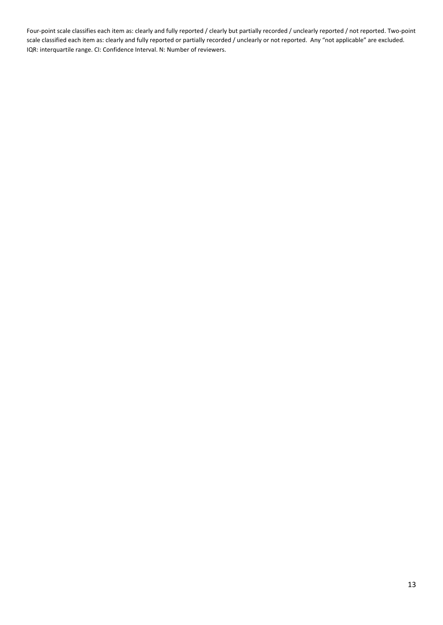Four-point scale classifies each item as: clearly and fully reported / clearly but partially recorded / unclearly reported / not reported. Two-point scale classified each item as: clearly and fully reported or partially recorded / unclearly or not reported. Any "not applicable" are excluded. IQR: interquartile range. CI: Confidence Interval. N: Number of reviewers.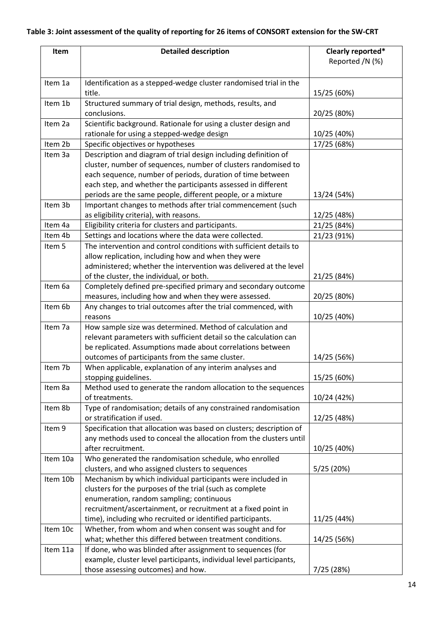# **Table 3: Joint assessment of the quality of reporting for 26 items of CONSORT extension for the SW-CRT**

| Item     | <b>Detailed description</b>                                                                                                        | Clearly reported*<br>Reported /N (%) |
|----------|------------------------------------------------------------------------------------------------------------------------------------|--------------------------------------|
| Item 1a  | Identification as a stepped-wedge cluster randomised trial in the                                                                  |                                      |
|          | title.                                                                                                                             | 15/25 (60%)                          |
| Item 1b  | Structured summary of trial design, methods, results, and                                                                          |                                      |
|          | conclusions.                                                                                                                       | 20/25 (80%)                          |
| Item 2a  | Scientific background. Rationale for using a cluster design and                                                                    |                                      |
|          | rationale for using a stepped-wedge design                                                                                         | 10/25 (40%)                          |
| Item 2b  | Specific objectives or hypotheses                                                                                                  | 17/25 (68%)                          |
| Item 3a  | Description and diagram of trial design including definition of                                                                    |                                      |
|          | cluster, number of sequences, number of clusters randomised to                                                                     |                                      |
|          | each sequence, number of periods, duration of time between                                                                         |                                      |
|          | each step, and whether the participants assessed in different                                                                      |                                      |
|          | periods are the same people, different people, or a mixture                                                                        | 13/24 (54%)                          |
| Item 3b  | Important changes to methods after trial commencement (such                                                                        |                                      |
|          | as eligibility criteria), with reasons.                                                                                            | 12/25 (48%)                          |
| Item 4a  | Eligibility criteria for clusters and participants.                                                                                | 21/25 (84%)                          |
| Item 4b  | Settings and locations where the data were collected.                                                                              | 21/23 (91%)                          |
| Item 5   | The intervention and control conditions with sufficient details to                                                                 |                                      |
|          | allow replication, including how and when they were                                                                                |                                      |
|          | administered; whether the intervention was delivered at the level                                                                  |                                      |
| Item 6a  | of the cluster, the individual, or both.                                                                                           | 21/25 (84%)                          |
|          | Completely defined pre-specified primary and secondary outcome                                                                     | 20/25 (80%)                          |
| Item 6b  | measures, including how and when they were assessed.<br>Any changes to trial outcomes after the trial commenced, with              |                                      |
|          | reasons                                                                                                                            | 10/25 (40%)                          |
| Item 7a  | How sample size was determined. Method of calculation and                                                                          |                                      |
|          | relevant parameters with sufficient detail so the calculation can                                                                  |                                      |
|          | be replicated. Assumptions made about correlations between                                                                         |                                      |
|          | outcomes of participants from the same cluster.                                                                                    | 14/25 (56%)                          |
| Item 7b  | When applicable, explanation of any interim analyses and                                                                           |                                      |
|          | stopping guidelines.                                                                                                               | 15/25 (60%)                          |
| Item 8a  | Method used to generate the random allocation to the sequences                                                                     |                                      |
|          | of treatments.                                                                                                                     | 10/24 (42%)                          |
| Item 8b  | Type of randomisation; details of any constrained randomisation                                                                    |                                      |
|          | or stratification if used.                                                                                                         | 12/25 (48%)                          |
| Item 9   | Specification that allocation was based on clusters; description of                                                                |                                      |
|          | any methods used to conceal the allocation from the clusters until                                                                 |                                      |
|          | after recruitment.                                                                                                                 | 10/25 (40%)                          |
| Item 10a | Who generated the randomisation schedule, who enrolled                                                                             |                                      |
|          | clusters, and who assigned clusters to sequences                                                                                   | 5/25 (20%)                           |
| Item 10b | Mechanism by which individual participants were included in                                                                        |                                      |
|          | clusters for the purposes of the trial (such as complete                                                                           |                                      |
|          | enumeration, random sampling; continuous                                                                                           |                                      |
|          | recruitment/ascertainment, or recruitment at a fixed point in                                                                      |                                      |
|          | time), including who recruited or identified participants.                                                                         | 11/25 (44%)                          |
| Item 10c | Whether, from whom and when consent was sought and for                                                                             |                                      |
|          | what; whether this differed between treatment conditions.                                                                          | 14/25 (56%)                          |
| Item 11a | If done, who was blinded after assignment to sequences (for<br>example, cluster level participants, individual level participants, |                                      |
|          | those assessing outcomes) and how.                                                                                                 | 7/25 (28%)                           |
|          |                                                                                                                                    |                                      |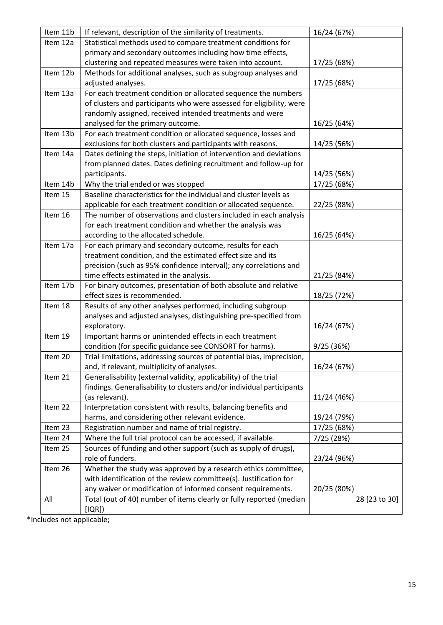| Item 11b | If relevant, description of the similarity of treatments.             | 16/24 (67%)   |
|----------|-----------------------------------------------------------------------|---------------|
| Item 12a | Statistical methods used to compare treatment conditions for          |               |
|          | primary and secondary outcomes including how time effects,            |               |
|          | clustering and repeated measures were taken into account.             | 17/25 (68%)   |
| Item 12b | Methods for additional analyses, such as subgroup analyses and        |               |
|          | adjusted analyses.                                                    | 17/25 (68%)   |
| Item 13a | For each treatment condition or allocated sequence the numbers        |               |
|          | of clusters and participants who were assessed for eligibility, were  |               |
|          | randomly assigned, received intended treatments and were              |               |
|          | analysed for the primary outcome.                                     | 16/25 (64%)   |
| Item 13b | For each treatment condition or allocated sequence, losses and        |               |
|          | exclusions for both clusters and participants with reasons.           | 14/25 (56%)   |
| Item 14a | Dates defining the steps, initiation of intervention and deviations   |               |
|          | from planned dates. Dates defining recruitment and follow-up for      |               |
|          | participants.                                                         | 14/25 (56%)   |
| Item 14b | Why the trial ended or was stopped                                    | 17/25 (68%)   |
| Item 15  | Baseline characteristics for the individual and cluster levels as     |               |
|          | applicable for each treatment condition or allocated sequence.        | 22/25 (88%)   |
| Item 16  | The number of observations and clusters included in each analysis     |               |
|          | for each treatment condition and whether the analysis was             |               |
|          | according to the allocated schedule.                                  | 16/25 (64%)   |
| Item 17a | For each primary and secondary outcome, results for each              |               |
|          | treatment condition, and the estimated effect size and its            |               |
|          | precision (such as 95% confidence interval); any correlations and     |               |
|          | time effects estimated in the analysis.                               | 21/25 (84%)   |
| Item 17b | For binary outcomes, presentation of both absolute and relative       |               |
|          | effect sizes is recommended.                                          | 18/25 (72%)   |
| Item 18  | Results of any other analyses performed, including subgroup           |               |
|          | analyses and adjusted analyses, distinguishing pre-specified from     |               |
|          | exploratory.                                                          | 16/24 (67%)   |
| Item 19  | Important harms or unintended effects in each treatment               |               |
|          | condition (for specific guidance see CONSORT for harms).              | 9/25 (36%)    |
| Item 20  | Trial limitations, addressing sources of potential bias, imprecision  |               |
|          | and, if relevant, multiplicity of analyses.                           | 16/24 (67%)   |
| Item 21  | Generalisability (external validity, applicability) of the trial      |               |
|          | findings. Generalisability to clusters and/or individual participants |               |
|          | (as relevant).                                                        | 11/24 (46%)   |
| Item 22  | Interpretation consistent with results, balancing benefits and        |               |
|          | harms, and considering other relevant evidence.                       | 19/24 (79%)   |
| Item 23  | Registration number and name of trial registry.                       | 17/25 (68%)   |
| Item 24  | Where the full trial protocol can be accessed, if available.          | 7/25 (28%)    |
| Item 25  | Sources of funding and other support (such as supply of drugs),       |               |
|          | role of funders.                                                      | 23/24 (96%)   |
| Item 26  | Whether the study was approved by a research ethics committee,        |               |
|          | with identification of the review committee(s). Justification for     |               |
|          | any waiver or modification of informed consent requirements.          | 20/25 (80%)   |
| All      | Total (out of 40) number of items clearly or fully reported (median   | 28 [23 to 30] |
|          | [IQR])                                                                |               |

\*Includes not applicable;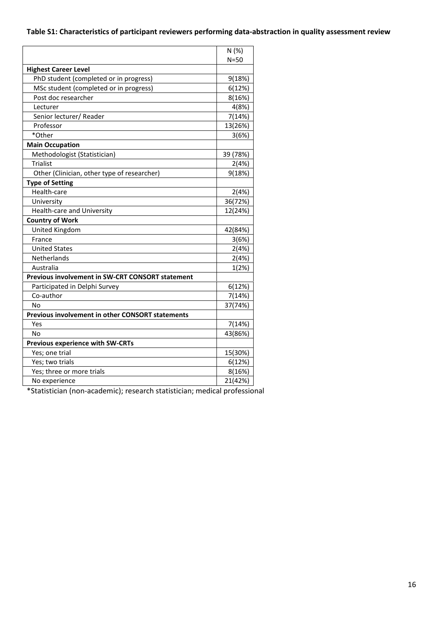# **Table S1: Characteristics of participant reviewers performing data-abstraction in quality assessment review**

|                                                         | N(%)     |
|---------------------------------------------------------|----------|
|                                                         | $N = 50$ |
| <b>Highest Career Level</b>                             |          |
| PhD student (completed or in progress)                  | 9(18%)   |
| MSc student (completed or in progress)                  | 6(12%)   |
| Post doc researcher                                     | 8(16%)   |
| Lecturer                                                | 4(8%)    |
| Senior lecturer/ Reader                                 | 7(14%)   |
| Professor                                               | 13(26%)  |
| *Other                                                  | 3(6%)    |
| <b>Main Occupation</b>                                  |          |
| Methodologist (Statistician)                            | 39 (78%) |
| Trialist                                                | 2(4%)    |
| Other (Clinician, other type of researcher)             | 9(18%)   |
| <b>Type of Setting</b>                                  |          |
| Health-care                                             | 2(4%)    |
| University                                              | 36(72%)  |
| Health-care and University                              | 12(24%)  |
| <b>Country of Work</b>                                  |          |
| United Kingdom                                          | 42(84%)  |
| France                                                  | 3(6%)    |
| <b>United States</b>                                    | 2(4%)    |
| Netherlands                                             | 2(4%)    |
| Australia                                               | 1(2%)    |
| <b>Previous involvement in SW-CRT CONSORT statement</b> |          |
| Participated in Delphi Survey                           | 6(12%)   |
| Co-author                                               | 7(14%)   |
| No                                                      | 37(74%)  |
| <b>Previous involvement in other CONSORT statements</b> |          |
| Yes                                                     | 7(14%)   |
| No                                                      | 43(86%)  |
| <b>Previous experience with SW-CRTs</b>                 |          |
| Yes; one trial                                          | 15(30%)  |
| Yes; two trials                                         | 6(12%)   |
| Yes; three or more trials                               | 8(16%)   |
| No experience                                           | 21(42%)  |

\*Statistician (non-academic); research statistician; medical professional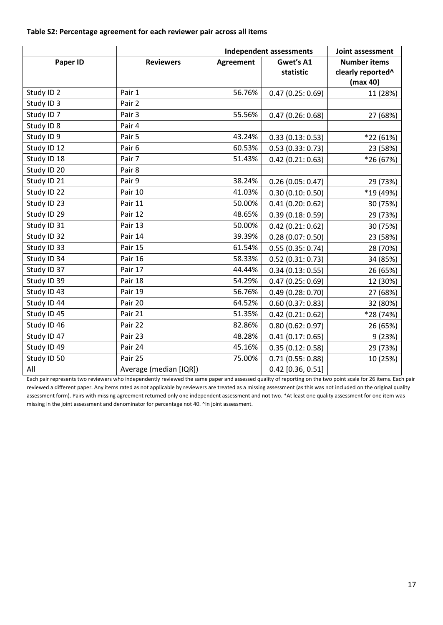**Table S2: Percentage agreement for each reviewer pair across all items** 

|                       |                        | <b>Independent assessments</b> |                     | Joint assessment              |
|-----------------------|------------------------|--------------------------------|---------------------|-------------------------------|
| Paper ID              | <b>Reviewers</b>       | Gwet's A1<br><b>Agreement</b>  |                     | <b>Number items</b>           |
|                       |                        |                                | statistic           | clearly reported <sup>^</sup> |
|                       |                        |                                |                     | (max 40)                      |
| Study ID <sub>2</sub> | Pair 1                 | 56.76%                         | 0.47(0.25:0.69)     | 11 (28%)                      |
| Study ID 3            | Pair 2                 |                                |                     |                               |
| Study ID <sub>7</sub> | Pair 3                 | 55.56%                         | 0.47(0.26:0.68)     | 27 (68%)                      |
| Study ID 8            | Pair 4                 |                                |                     |                               |
| Study ID 9            | Pair 5                 | 43.24%                         | 0.33(0.13:0.53)     | *22 (61%)                     |
| Study ID 12           | Pair <sub>6</sub>      | 60.53%                         | 0.53(0.33:0.73)     | 23 (58%)                      |
| Study ID 18           | Pair 7                 | 51.43%                         | $0.42$ (0.21: 0.63) | *26 (67%)                     |
| Study ID 20           | Pair 8                 |                                |                     |                               |
| Study ID 21           | Pair 9                 | 38.24%                         | 0.26(0.05:0.47)     | 29 (73%)                      |
| Study ID 22           | Pair 10                | 41.03%                         | 0.30(0.10:0.50)     | *19 (49%)                     |
| Study ID 23           | Pair 11                | 50.00%                         | 0.41(0.20:0.62)     | 30 (75%)                      |
| Study ID 29           | Pair 12                | 48.65%                         | 0.39(0.18:0.59)     | 29 (73%)                      |
| Study ID 31           | Pair 13                | 50.00%                         | $0.42$ (0.21: 0.62) | 30 (75%)                      |
| Study ID 32           | Pair 14                | 39.39%                         | 0.28(0.07:0.50)     | 23 (58%)                      |
| Study ID 33           | Pair 15                | 61.54%                         | 0.55(0.35:0.74)     | 28 (70%)                      |
| Study ID 34           | Pair 16                | 58.33%                         | $0.52$ (0.31: 0.73) | 34 (85%)                      |
| Study ID 37           | Pair 17                | 44.44%                         | 0.34(0.13:0.55)     | 26 (65%)                      |
| Study ID 39           | Pair 18                | 54.29%                         | 0.47(0.25:0.69)     | 12 (30%)                      |
| Study ID 43           | Pair 19                | 56.76%                         | 0.49(0.28:0.70)     | 27 (68%)                      |
| Study ID 44           | Pair 20                | 64.52%                         | 0.60(0.37:0.83)     | 32 (80%)                      |
| Study ID 45           | Pair 21                | 51.35%                         | $0.42$ (0.21: 0.62) | *28 (74%)                     |
| Study ID 46           | Pair 22                | 82.86%                         | 0.80(0.62:0.97)     | 26 (65%)                      |
| Study ID 47           | Pair 23                | 48.28%                         | 0.41(0.17:0.65)     | 9(23%)                        |
| Study ID 49           | Pair 24                | 45.16%                         | 0.35(0.12:0.58)     | 29 (73%)                      |
| Study ID 50           | Pair 25                | 75.00%                         | 0.71(0.55:0.88)     | 10 (25%)                      |
| All                   | Average (median [IQR]) |                                | $0.42$ [0.36, 0.51] |                               |

Each pair represents two reviewers who independently reviewed the same paper and assessed quality of reporting on the two point scale for 26 items. Each pair reviewed a different paper. Any items rated as not applicable by reviewers are treated as a missing assessment (as this was not included on the original quality assessment form). Pairs with missing agreement returned only one independent assessment and not two. \*At least one quality assessment for one item was missing in the joint assessment and denominator for percentage not 40. ^In joint assessment.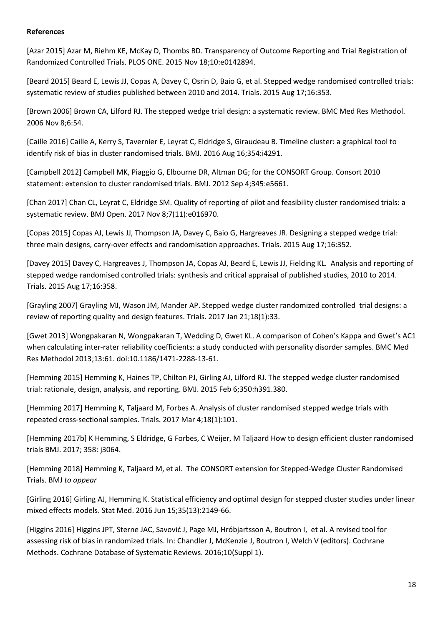#### **References**

[Azar 2015] Azar M, Riehm KE, McKay D, Thombs BD. Transparency of Outcome Reporting and Trial Registration of Randomized Controlled Trials. PLOS ONE. 2015 Nov 18;10:e0142894.

[Beard 2015] Beard E, Lewis JJ, Copas A, Davey C, Osrin D, Baio G, et al. Stepped wedge randomised controlled trials: systematic review of studies published between 2010 and 2014. Trials. 2015 Aug 17;16:353.

[Brown 2006] Brown CA, Lilford RJ. The stepped wedge trial design: a systematic review. BMC Med Res Methodol. 2006 Nov 8;6:54.

[Caille 2016] Caille A, Kerry S, Tavernier E, Leyrat C, Eldridge S, Giraudeau B. Timeline cluster: a graphical tool to identify risk of bias in cluster randomised trials. BMJ. 2016 Aug 16;354:i4291.

[Campbell 2012] Campbell MK, Piaggio G, Elbourne DR, Altman DG; for the CONSORT Group. Consort 2010 statement: extension to cluster randomised trials. BMJ. 2012 Sep 4;345:e5661.

[Chan 2017] Chan CL, Leyrat C, Eldridge SM. Quality of reporting of pilot and feasibility cluster randomised trials: a systematic review. BMJ Open. 2017 Nov 8;7(11):e016970.

[Copas 2015] Copas AJ, Lewis JJ, Thompson JA, Davey C, Baio G, Hargreaves JR. Designing a stepped wedge trial: three main designs, carry-over effects and randomisation approaches. Trials. 2015 Aug 17;16:352.

[Davey 2015] Davey C, Hargreaves J, Thompson JA, Copas AJ, Beard E, Lewis JJ, Fielding KL. Analysis and reporting of stepped wedge randomised controlled trials: synthesis and critical appraisal of published studies, 2010 to 2014. Trials. 2015 Aug 17;16:358.

[Grayling 2007] Grayling MJ, Wason JM, Mander AP. Stepped wedge cluster randomized controlled trial designs: a review of reporting quality and design features. Trials. 2017 Jan 21;18(1):33.

[Gwet 2013] Wongpakaran N, Wongpakaran T, Wedding D, Gwet KL. A comparison of Cohen's Kappa and Gwet's AC1 when calculating inter-rater reliability coefficients: a study conducted with personality disorder samples. BMC Med Res Methodol 2013;13:61. doi:10.1186/1471-2288-13-61.

[Hemming 2015] Hemming K, Haines TP, Chilton PJ, Girling AJ, Lilford RJ. The stepped wedge cluster randomised trial: rationale, design, analysis, and reporting. BMJ. 2015 Feb 6;350:h391.380.

[Hemming 2017] Hemming K, Taljaard M, Forbes A. Analysis of cluster randomised stepped wedge trials with repeated cross-sectional samples. Trials. 2017 Mar 4;18(1):101.

[Hemming 2017b] K Hemming, S Eldridge, G Forbes, C Weijer, M Taljaard How to design efficient cluster randomised trials BMJ. 2017; 358: j3064.

[Hemming 2018] Hemming K, Taljaard M, et al. The CONSORT extension for Stepped-Wedge Cluster Randomised Trials. BMJ *to appear*

[Girling 2016] Girling AJ, Hemming K. Statistical efficiency and optimal design for stepped cluster studies under linear mixed effects models. Stat Med. 2016 Jun 15;35(13):2149-66.

[Higgins 2016] Higgins JPT, Sterne JAC, Savović J, Page MJ, Hróbjartsson A, Boutron I, et al. A revised tool for assessing risk of bias in randomized trials. In: Chandler J, McKenzie J, Boutron I, Welch V (editors). Cochrane Methods. Cochrane Database of Systematic Reviews. 2016;10(Suppl 1).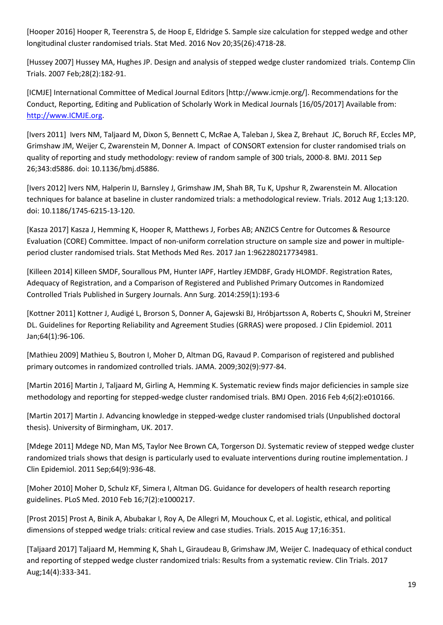[Hooper 2016] Hooper R, Teerenstra S, de Hoop E, Eldridge S. Sample size calculation for stepped wedge and other longitudinal cluster randomised trials. Stat Med. 2016 Nov 20;35(26):4718-28.

[Hussey 2007] Hussey MA, Hughes JP. Design and analysis of stepped wedge cluster randomized trials. Contemp Clin Trials. 2007 Feb;28(2):182-91.

[ICMJE] International Committee of Medical Journal Editors [http://www.icmje.org/]. Recommendations for the Conduct, Reporting, Editing and Publication of Scholarly Work in Medical Journals [16/05/2017] Available from: [http://www.ICMJE.org.](http://www.icmje.org/)

[Ivers 2011] Ivers NM, Taljaard M, Dixon S, Bennett C, McRae A, Taleban J, Skea Z, Brehaut JC, Boruch RF, Eccles MP, Grimshaw JM, Weijer C, Zwarenstein M, Donner A. Impact of CONSORT extension for cluster randomised trials on quality of reporting and study methodology: review of random sample of 300 trials, 2000-8. BMJ. 2011 Sep 26;343:d5886. doi: 10.1136/bmj.d5886.

[Ivers 2012] Ivers NM, Halperin IJ, Barnsley J, Grimshaw JM, Shah BR, Tu K, Upshur R, Zwarenstein M. Allocation techniques for balance at baseline in cluster randomized trials: a methodological review. Trials. 2012 Aug 1;13:120. doi: 10.1186/1745-6215-13-120.

[Kasza 2017] Kasza J, Hemming K, Hooper R, Matthews J, Forbes AB; ANZICS Centre for Outcomes & Resource Evaluation (CORE) Committee. Impact of non-uniform correlation structure on sample size and power in multipleperiod cluster randomised trials. Stat Methods Med Res. 2017 Jan 1:962280217734981.

[Killeen 2014] Killeen SMDF, Sourallous PM, Hunter IAPF, Hartley JEMDBF, Grady HLOMDF. Registration Rates, Adequacy of Registration, and a Comparison of Registered and Published Primary Outcomes in Randomized Controlled Trials Published in Surgery Journals. Ann Surg. 2014:259(1):193-6

[Kottner 2011] Kottner J, Audigé L, Brorson S, Donner A, Gajewski BJ, Hróbjartsson A, Roberts C, Shoukri M, Streiner DL. Guidelines for Reporting Reliability and Agreement Studies (GRRAS) were proposed. J Clin Epidemiol. 2011 Jan;64(1):96-106.

[Mathieu 2009] Mathieu S, Boutron I, Moher D, Altman DG, Ravaud P. Comparison of registered and published primary outcomes in randomized controlled trials. JAMA. 2009;302(9):977-84.

[Martin 2016] Martin J, Taljaard M, Girling A, Hemming K. Systematic review finds major deficiencies in sample size methodology and reporting for stepped-wedge cluster randomised trials. BMJ Open. 2016 Feb 4;6(2):e010166.

[Martin 2017] Martin J. Advancing knowledge in stepped-wedge cluster randomised trials (Unpublished doctoral thesis). University of Birmingham, UK. 2017.

[Mdege 2011] Mdege ND, Man MS, Taylor Nee Brown CA, Torgerson DJ. Systematic review of stepped wedge cluster randomized trials shows that design is particularly used to evaluate interventions during routine implementation. J Clin Epidemiol. 2011 Sep;64(9):936-48.

[Moher 2010] Moher D, Schulz KF, Simera I, Altman DG. Guidance for developers of health research reporting guidelines. PLoS Med. 2010 Feb 16;7(2):e1000217.

[Prost 2015] Prost A, Binik A, Abubakar I, Roy A, De Allegri M, Mouchoux C, et al. Logistic, ethical, and political dimensions of stepped wedge trials: critical review and case studies. Trials. 2015 Aug 17;16:351.

[Taljaard 2017] Taljaard M, Hemming K, Shah L, Giraudeau B, Grimshaw JM, Weijer C. Inadequacy of ethical conduct and reporting of stepped wedge cluster randomized trials: Results from a systematic review. Clin Trials. 2017 Aug;14(4):333-341.